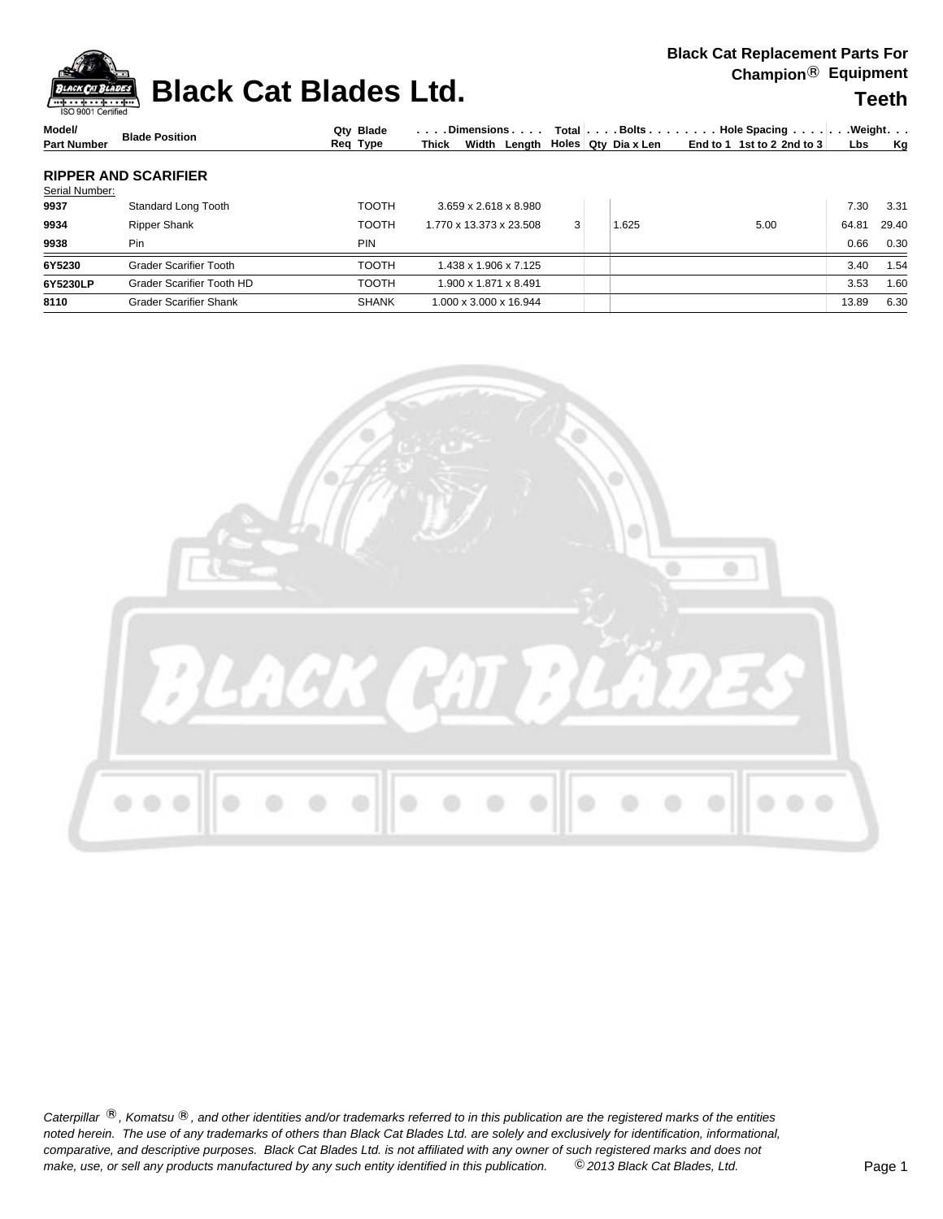| <b>BIACK CAT REDIACEMENT PARTS FOR</b><br>Champion <sup>®</sup> Equipment<br><b>Teeth</b> | <b>PROVIDED Black Cat Blades Ltd.</b> | ISO 9001 Certified |
|-------------------------------------------------------------------------------------------|---------------------------------------|--------------------|
|                                                                                           |                                       |                    |

| Model/             | <b>Blade Position</b> | Qtv Blade |       |  | $\vert \ldots$ . Dimensions $\ldots \vert$ Total $\vert \ldots$ Bolts $\ldots \vert \ldots$ Hole Spacing $\ldots \vert \ldots$ . Weight. $\ldots$ |  |  |
|--------------------|-----------------------|-----------|-------|--|---------------------------------------------------------------------------------------------------------------------------------------------------|--|--|
| <b>Part Number</b> |                       | Reg Type  | Thick |  | Width Length $\vert$ Holes $\vert$ Qty Diax Len $\vert$ End to 1 1st to 2 2nd to 3 Lbs Kg                                                         |  |  |
|                    |                       |           |       |  |                                                                                                                                                   |  |  |

### **RIPPER AND SCARIFIER**

| Serial Number: |                               |              |                                   |   |       |      |       |       |
|----------------|-------------------------------|--------------|-----------------------------------|---|-------|------|-------|-------|
| 9937           | Standard Long Tooth           | <b>TOOTH</b> | $3.659 \times 2.618 \times 8.980$ |   |       |      | 7.30  | 3.31  |
| 9934           | <b>Ripper Shank</b>           | <b>TOOTH</b> | 1.770 x 13.373 x 23.508           | 3 | 1.625 | 5.00 | 64.81 | 29.40 |
| 9938           | Pin                           | <b>PIN</b>   |                                   |   |       |      | 0.66  | 0.30  |
| 6Y5230         | <b>Grader Scarifier Tooth</b> | <b>TOOTH</b> | 1.438 x 1.906 x 7.125 l           |   |       |      | 3.40  | 1.54  |
| 6Y5230LP       | Grader Scarifier Tooth HD     | <b>TOOTH</b> | 1.900 x 1.871 x 8.491             |   |       |      | 3.53  | 1.60  |
| 8110           | <b>Grader Scarifier Shank</b> | <b>SHANK</b> | 1.000 x 3.000 x 16.944            |   |       |      | 13.89 | 6.30  |
|                |                               |              |                                   |   |       |      |       |       |



Caterpillar ®, Komatsu ®, and other identities and/or trademarks referred to in this publication are the registered marks of the entities *noted herein. The use of any trademarks of others than Black Cat Blades Ltd. are solely and exclusively for identification, informational, make, use, or sell any products manufactured by any such entity identified in this publication. comparative, and descriptive purposes. Black Cat Blades Ltd. is not affiliated with any owner of such registered marks and does not* ©*2013 Black Cat Blades, Ltd.* Page 1